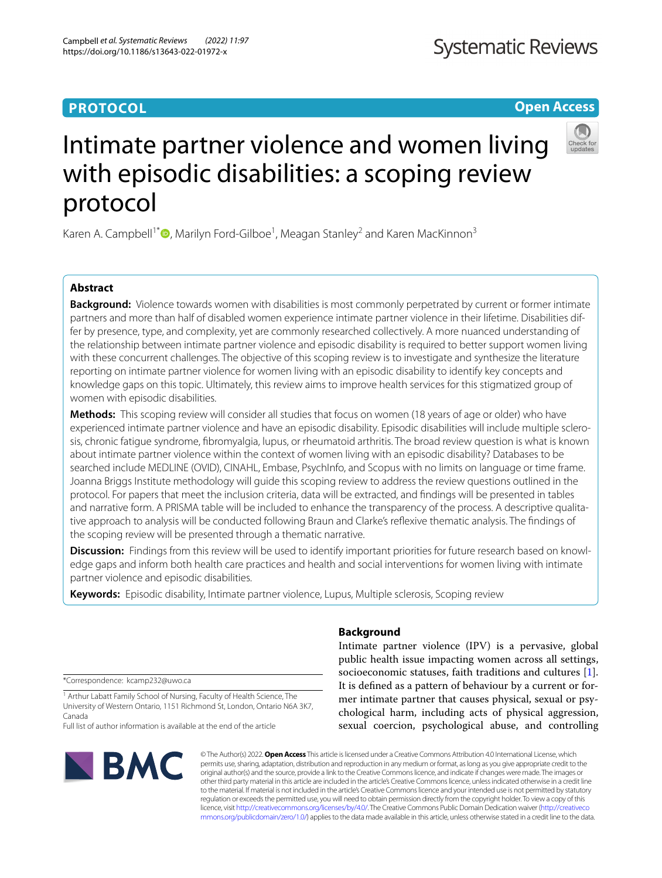# **PROTOCOL**

# **Open Access**



# Intimate partner violence and women living with episodic disabilities: a scoping review protocol

Karen A. Campbell<sup>1[\\*](http://orcid.org/0000-0002-5318-5112)</sup><sup>®</sup>, Marilyn Ford-Gilboe<sup>1</sup>, Meagan Stanley<sup>2</sup> and Karen MacKinnon<sup>3</sup>

# **Abstract**

**Background:** Violence towards women with disabilities is most commonly perpetrated by current or former intimate partners and more than half of disabled women experience intimate partner violence in their lifetime. Disabilities differ by presence, type, and complexity, yet are commonly researched collectively. A more nuanced understanding of the relationship between intimate partner violence and episodic disability is required to better support women living with these concurrent challenges. The objective of this scoping review is to investigate and synthesize the literature reporting on intimate partner violence for women living with an episodic disability to identify key concepts and knowledge gaps on this topic. Ultimately, this review aims to improve health services for this stigmatized group of women with episodic disabilities.

**Methods:** This scoping review will consider all studies that focus on women (18 years of age or older) who have experienced intimate partner violence and have an episodic disability. Episodic disabilities will include multiple sclerosis, chronic fatigue syndrome, fbromyalgia, lupus, or rheumatoid arthritis. The broad review question is what is known about intimate partner violence within the context of women living with an episodic disability? Databases to be searched include MEDLINE (OVID), CINAHL, Embase, PsychInfo, and Scopus with no limits on language or time frame. Joanna Briggs Institute methodology will guide this scoping review to address the review questions outlined in the protocol. For papers that meet the inclusion criteria, data will be extracted, and fndings will be presented in tables and narrative form. A PRISMA table will be included to enhance the transparency of the process. A descriptive qualitative approach to analysis will be conducted following Braun and Clarke's refexive thematic analysis. The fndings of the scoping review will be presented through a thematic narrative.

Discussion: Findings from this review will be used to identify important priorities for future research based on knowledge gaps and inform both health care practices and health and social interventions for women living with intimate partner violence and episodic disabilities.

**Keywords:** Episodic disability, Intimate partner violence, Lupus, Multiple sclerosis, Scoping review

\*Correspondence: kcamp232@uwo.ca

<sup>1</sup> Arthur Labatt Family School of Nursing, Faculty of Health Science, The University of Western Ontario, 1151 Richmond St, London, Ontario N6A 3K7, Canada

Full list of author information is available at the end of the article



# **Background**

Intimate partner violence (IPV) is a pervasive, global public health issue impacting women across all settings, socioeconomic statuses, faith traditions and cultures [\[1](#page-4-0)]. It is defned as a pattern of behaviour by a current or former intimate partner that causes physical, sexual or psychological harm, including acts of physical aggression, sexual coercion, psychological abuse, and controlling

© The Author(s) 2022. **Open Access** This article is licensed under a Creative Commons Attribution 4.0 International License, which permits use, sharing, adaptation, distribution and reproduction in any medium or format, as long as you give appropriate credit to the original author(s) and the source, provide a link to the Creative Commons licence, and indicate if changes were made. The images or other third party material in this article are included in the article's Creative Commons licence, unless indicated otherwise in a credit line to the material. If material is not included in the article's Creative Commons licence and your intended use is not permitted by statutory regulation or exceeds the permitted use, you will need to obtain permission directly from the copyright holder. To view a copy of this licence, visit [http://creativecommons.org/licenses/by/4.0/.](http://creativecommons.org/licenses/by/4.0/) The Creative Commons Public Domain Dedication waiver ([http://creativeco](http://creativecommons.org/publicdomain/zero/1.0/) [mmons.org/publicdomain/zero/1.0/](http://creativecommons.org/publicdomain/zero/1.0/)) applies to the data made available in this article, unless otherwise stated in a credit line to the data.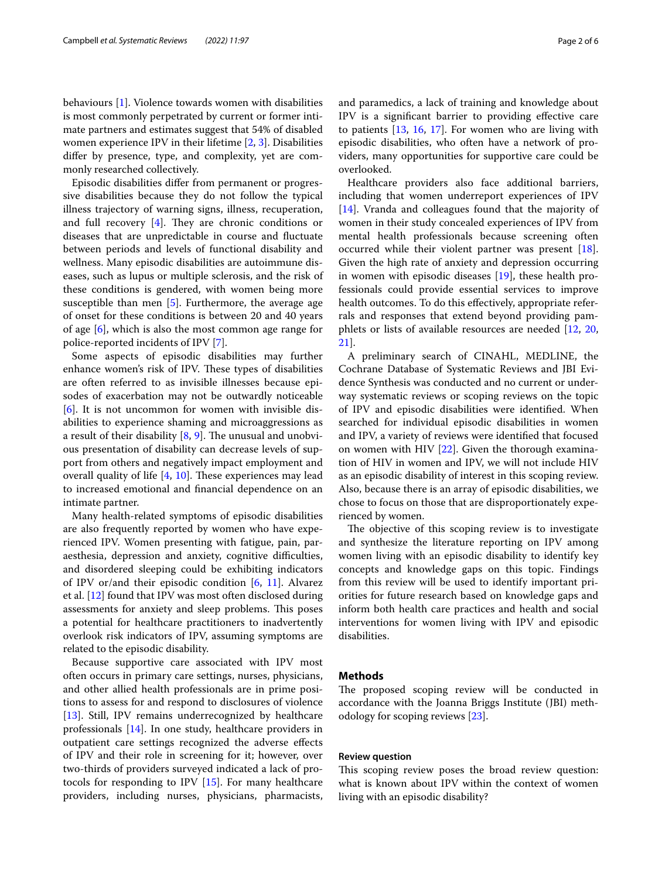behaviours [\[1](#page-4-0)]. Violence towards women with disabilities is most commonly perpetrated by current or former intimate partners and estimates suggest that 54% of disabled women experience IPV in their lifetime [\[2,](#page-4-1) [3\]](#page-4-2). Disabilities difer by presence, type, and complexity, yet are commonly researched collectively.

Episodic disabilities difer from permanent or progressive disabilities because they do not follow the typical illness trajectory of warning signs, illness, recuperation, and full recovery  $[4]$  $[4]$ . They are chronic conditions or diseases that are unpredictable in course and fuctuate between periods and levels of functional disability and wellness. Many episodic disabilities are autoimmune diseases, such as lupus or multiple sclerosis, and the risk of these conditions is gendered, with women being more susceptible than men  $[5]$ . Furthermore, the average age of onset for these conditions is between 20 and 40 years of age [[6\]](#page-4-5), which is also the most common age range for police-reported incidents of IPV [\[7](#page-4-6)].

Some aspects of episodic disabilities may further enhance women's risk of IPV. These types of disabilities are often referred to as invisible illnesses because episodes of exacerbation may not be outwardly noticeable [[6\]](#page-4-5). It is not uncommon for women with invisible disabilities to experience shaming and microaggressions as a result of their disability  $[8, 9]$  $[8, 9]$  $[8, 9]$ . The unusual and unobvious presentation of disability can decrease levels of support from others and negatively impact employment and overall quality of life  $[4, 10]$  $[4, 10]$  $[4, 10]$  $[4, 10]$ . These experiences may lead to increased emotional and fnancial dependence on an intimate partner.

Many health-related symptoms of episodic disabilities are also frequently reported by women who have experienced IPV. Women presenting with fatigue, pain, paraesthesia, depression and anxiety, cognitive difficulties, and disordered sleeping could be exhibiting indicators of IPV or/and their episodic condition  $[6, 11]$  $[6, 11]$  $[6, 11]$  $[6, 11]$ . Alvarez et al. [\[12](#page-4-11)] found that IPV was most often disclosed during assessments for anxiety and sleep problems. This poses a potential for healthcare practitioners to inadvertently overlook risk indicators of IPV, assuming symptoms are related to the episodic disability.

Because supportive care associated with IPV most often occurs in primary care settings, nurses, physicians, and other allied health professionals are in prime positions to assess for and respond to disclosures of violence [[13\]](#page-4-12). Still, IPV remains underrecognized by healthcare professionals [[14\]](#page-4-13). In one study, healthcare providers in outpatient care settings recognized the adverse efects of IPV and their role in screening for it; however, over two-thirds of providers surveyed indicated a lack of protocols for responding to IPV [\[15\]](#page-4-14). For many healthcare providers, including nurses, physicians, pharmacists,

and paramedics, a lack of training and knowledge about IPV is a signifcant barrier to providing efective care to patients [[13,](#page-4-12) [16](#page-4-15), [17\]](#page-5-0). For women who are living with episodic disabilities, who often have a network of providers, many opportunities for supportive care could be overlooked.

Healthcare providers also face additional barriers, including that women underreport experiences of IPV [[14\]](#page-4-13). Vranda and colleagues found that the majority of women in their study concealed experiences of IPV from mental health professionals because screening often occurred while their violent partner was present [\[18](#page-5-1)]. Given the high rate of anxiety and depression occurring in women with episodic diseases [\[19](#page-5-2)], these health professionals could provide essential services to improve health outcomes. To do this effectively, appropriate referrals and responses that extend beyond providing pamphlets or lists of available resources are needed [[12,](#page-4-11) [20](#page-5-3), [21\]](#page-5-4).

A preliminary search of CINAHL, MEDLINE, the Cochrane Database of Systematic Reviews and JBI Evidence Synthesis was conducted and no current or underway systematic reviews or scoping reviews on the topic of IPV and episodic disabilities were identifed. When searched for individual episodic disabilities in women and IPV, a variety of reviews were identifed that focused on women with HIV [\[22](#page-5-5)]. Given the thorough examination of HIV in women and IPV, we will not include HIV as an episodic disability of interest in this scoping review. Also, because there is an array of episodic disabilities, we chose to focus on those that are disproportionately experienced by women.

The objective of this scoping review is to investigate and synthesize the literature reporting on IPV among women living with an episodic disability to identify key concepts and knowledge gaps on this topic. Findings from this review will be used to identify important priorities for future research based on knowledge gaps and inform both health care practices and health and social interventions for women living with IPV and episodic disabilities.

## **Methods**

The proposed scoping review will be conducted in accordance with the Joanna Briggs Institute (JBI) methodology for scoping reviews [\[23](#page-5-6)].

## **Review question**

This scoping review poses the broad review question: what is known about IPV within the context of women living with an episodic disability?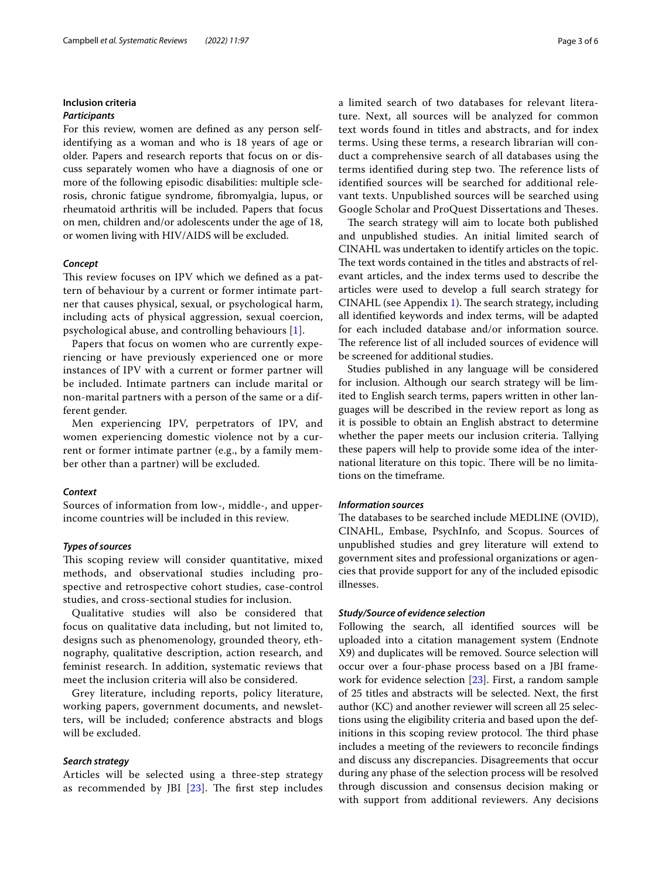# **Inclusion criteria**

# *Participants*

For this review, women are defned as any person selfidentifying as a woman and who is 18 years of age or older. Papers and research reports that focus on or discuss separately women who have a diagnosis of one or more of the following episodic disabilities: multiple sclerosis, chronic fatigue syndrome, fbromyalgia, lupus, or rheumatoid arthritis will be included. Papers that focus on men, children and/or adolescents under the age of 18, or women living with HIV/AIDS will be excluded.

## *Concept*

This review focuses on IPV which we defined as a pattern of behaviour by a current or former intimate partner that causes physical, sexual, or psychological harm, including acts of physical aggression, sexual coercion, psychological abuse, and controlling behaviours [[1\]](#page-4-0).

Papers that focus on women who are currently experiencing or have previously experienced one or more instances of IPV with a current or former partner will be included. Intimate partners can include marital or non-marital partners with a person of the same or a different gender.

Men experiencing IPV, perpetrators of IPV, and women experiencing domestic violence not by a current or former intimate partner (e.g., by a family member other than a partner) will be excluded.

#### *Context*

Sources of information from low-, middle-, and upperincome countries will be included in this review.

#### *Types of sources*

This scoping review will consider quantitative, mixed methods, and observational studies including prospective and retrospective cohort studies, case-control studies, and cross-sectional studies for inclusion.

Qualitative studies will also be considered that focus on qualitative data including, but not limited to, designs such as phenomenology, grounded theory, ethnography, qualitative description, action research, and feminist research. In addition, systematic reviews that meet the inclusion criteria will also be considered.

Grey literature, including reports, policy literature, working papers, government documents, and newsletters, will be included; conference abstracts and blogs will be excluded.

# *Search strategy*

Articles will be selected using a three-step strategy as recommended by JBI  $[23]$  $[23]$  $[23]$ . The first step includes a limited search of two databases for relevant literature. Next, all sources will be analyzed for common text words found in titles and abstracts, and for index terms. Using these terms, a research librarian will conduct a comprehensive search of all databases using the terms identified during step two. The reference lists of identifed sources will be searched for additional relevant texts. Unpublished sources will be searched using Google Scholar and ProQuest Dissertations and Theses.

The search strategy will aim to locate both published and unpublished studies. An initial limited search of CINAHL was undertaken to identify articles on the topic. The text words contained in the titles and abstracts of relevant articles, and the index terms used to describe the articles were used to develop a full search strategy for CINAHL (see Appendix [1](#page-3-0)). The search strategy, including all identifed keywords and index terms, will be adapted for each included database and/or information source. The reference list of all included sources of evidence will be screened for additional studies.

Studies published in any language will be considered for inclusion. Although our search strategy will be limited to English search terms, papers written in other languages will be described in the review report as long as it is possible to obtain an English abstract to determine whether the paper meets our inclusion criteria. Tallying these papers will help to provide some idea of the international literature on this topic. There will be no limitations on the timeframe.

## *Information sources*

The databases to be searched include MEDLINE (OVID), CINAHL, Embase, PsychInfo, and Scopus. Sources of unpublished studies and grey literature will extend to government sites and professional organizations or agencies that provide support for any of the included episodic illnesses.

#### *Study/Source of evidence selection*

Following the search, all identifed sources will be uploaded into a citation management system (Endnote X9) and duplicates will be removed. Source selection will occur over a four-phase process based on a JBI framework for evidence selection [[23\]](#page-5-6). First, a random sample of 25 titles and abstracts will be selected. Next, the frst author (KC) and another reviewer will screen all 25 selections using the eligibility criteria and based upon the definitions in this scoping review protocol. The third phase includes a meeting of the reviewers to reconcile fndings and discuss any discrepancies. Disagreements that occur during any phase of the selection process will be resolved through discussion and consensus decision making or with support from additional reviewers. Any decisions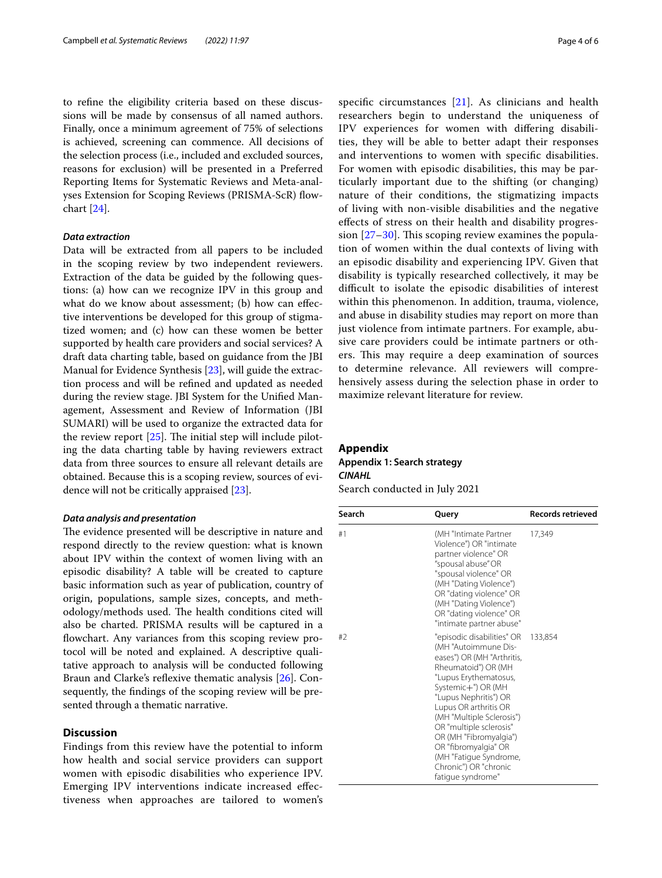to refne the eligibility criteria based on these discussions will be made by consensus of all named authors. Finally, once a minimum agreement of 75% of selections is achieved, screening can commence. All decisions of the selection process (i.e., included and excluded sources, reasons for exclusion) will be presented in a Preferred Reporting Items for Systematic Reviews and Meta-analyses Extension for Scoping Reviews (PRISMA-ScR) flowchart [[24](#page-5-7)].

# *Data extraction*

Data will be extracted from all papers to be included in the scoping review by two independent reviewers. Extraction of the data be guided by the following questions: (a) how can we recognize IPV in this group and what do we know about assessment; (b) how can efective interventions be developed for this group of stigmatized women; and (c) how can these women be better supported by health care providers and social services? A draft data charting table, based on guidance from the JBI Manual for Evidence Synthesis [\[23](#page-5-6)], will guide the extraction process and will be refned and updated as needed during the review stage. JBI System for the Unifed Management, Assessment and Review of Information (JBI SUMARI) will be used to organize the extracted data for the review report  $[25]$  $[25]$ . The initial step will include piloting the data charting table by having reviewers extract data from three sources to ensure all relevant details are obtained. Because this is a scoping review, sources of evidence will not be critically appraised [\[23\]](#page-5-6).

#### *Data analysis and presentation*

The evidence presented will be descriptive in nature and respond directly to the review question: what is known about IPV within the context of women living with an episodic disability? A table will be created to capture basic information such as year of publication, country of origin, populations, sample sizes, concepts, and methodology/methods used. The health conditions cited will also be charted. PRISMA results will be captured in a flowchart. Any variances from this scoping review protocol will be noted and explained. A descriptive qualitative approach to analysis will be conducted following Braun and Clarke's reflexive thematic analysis [\[26](#page-5-9)]. Consequently, the fndings of the scoping review will be presented through a thematic narrative.

# **Discussion**

Findings from this review have the potential to inform how health and social service providers can support women with episodic disabilities who experience IPV. Emerging IPV interventions indicate increased efectiveness when approaches are tailored to women's specifc circumstances [[21](#page-5-4)]. As clinicians and health researchers begin to understand the uniqueness of IPV experiences for women with difering disabilities, they will be able to better adapt their responses and interventions to women with specifc disabilities. For women with episodic disabilities, this may be particularly important due to the shifting (or changing) nature of their conditions, the stigmatizing impacts of living with non-visible disabilities and the negative efects of stress on their health and disability progression  $[27-30]$  $[27-30]$  $[27-30]$ . This scoping review examines the population of women within the dual contexts of living with an episodic disability and experiencing IPV. Given that disability is typically researched collectively, it may be difcult to isolate the episodic disabilities of interest within this phenomenon. In addition, trauma, violence, and abuse in disability studies may report on more than just violence from intimate partners. For example, abusive care providers could be intimate partners or others. This may require a deep examination of sources to determine relevance. All reviewers will comprehensively assess during the selection phase in order to maximize relevant literature for review.

#### **Appendix**

# <span id="page-3-0"></span>**Appendix 1: Search strategy** *CINAHL*

Search conducted in July 2021

| Search | Query                                                                                                                                                                                                                                                                                                                                                                                      | <b>Records retrieved</b> |
|--------|--------------------------------------------------------------------------------------------------------------------------------------------------------------------------------------------------------------------------------------------------------------------------------------------------------------------------------------------------------------------------------------------|--------------------------|
| #1     | (MH "Intimate Partner<br>Violence") OR "intimate<br>partner violence" OR<br>"spousal abuse" OR<br>"spousal violence" OR<br>(MH "Dating Violence")<br>OR "dating violence" OR<br>(MH "Dating Violence")<br>OR "dating violence" OR<br>"intimate partner abuse"                                                                                                                              | 17,349                   |
| #2     | "episodic disabilities" OR<br>(MH "Autoimmune Dis-<br>eases") OR (MH "Arthritis,<br>Rheumatoid") OR (MH<br>"Lupus Erythematosus,<br>Systemic+") OR (MH<br>"Lupus Nephritis") OR<br>Lupus OR arthritis OR<br>(MH "Multiple Sclerosis")<br>OR "multiple sclerosis"<br>OR (MH "Fibromyalgia")<br>OR "fibromyalgia" OR<br>(MH "Fatigue Syndrome,<br>Chronic") OR "chronic<br>fatique syndrome" | 133,854                  |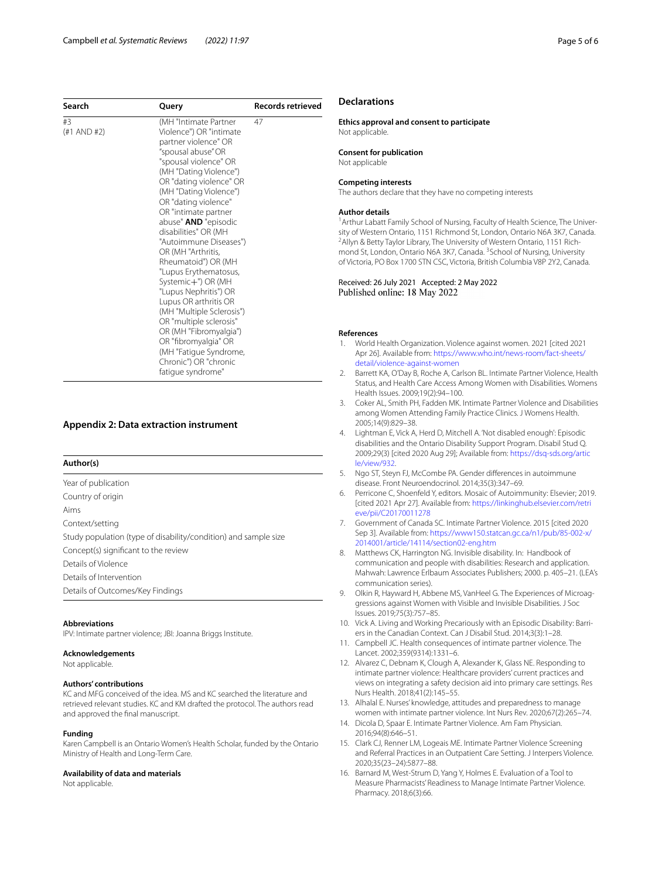| Search                | Query                                                                                                                                                                                                                                                                                                                                                                                                                                                                                                                                                                                                                     | <b>Records retrieved</b> |
|-----------------------|---------------------------------------------------------------------------------------------------------------------------------------------------------------------------------------------------------------------------------------------------------------------------------------------------------------------------------------------------------------------------------------------------------------------------------------------------------------------------------------------------------------------------------------------------------------------------------------------------------------------------|--------------------------|
| #3<br>$(+1$ AND $#2)$ | (MH "Intimate Partner<br>Violence") OR "intimate<br>partner violence" OR<br>"spousal abuse" OR<br>"spousal violence" OR<br>(MH "Dating Violence")<br>OR "dating violence" OR<br>(MH "Dating Violence")<br>OR "dating violence"<br>OR "intimate partner<br>abuse" <b>AND</b> "episodic<br>disabilities" OR (MH<br>"Autoimmune Diseases")<br>OR (MH "Arthritis,<br>Rheumatoid") OR (MH<br>"Lupus Erythematosus,<br>Systemic+") OR (MH<br>"Lupus Nephritis") OR<br>Lupus OR arthritis OR<br>(MH "Multiple Sclerosis")<br>OR "multiple sclerosis"<br>OR (MH "Fibromyalgia")<br>OR "fibromyalgia" OR<br>(MH "Fatigue Syndrome, | 47                       |
|                       | Chronic") OR "chronic<br>fatique syndrome"                                                                                                                                                                                                                                                                                                                                                                                                                                                                                                                                                                                |                          |

## **Appendix 2: Data extraction instrument**

## **Author(s)**

Year of publication Country of origin Aims Context/setting Study population (type of disability/condition) and sample size Concept(s) signifcant to the review Details of Violence Details of Intervention

Details of Outcomes/Key Findings

#### **Abbreviations**

IPV: Intimate partner violence; JBI: Joanna Briggs Institute.

#### **Acknowledgements**

Not applicable.

# **Authors' contributions**

KC and MFG conceived of the idea. MS and KC searched the literature and retrieved relevant studies. KC and KM drafted the protocol. The authors read and approved the fnal manuscript.

#### **Funding**

Karen Campbell is an Ontario Women's Health Scholar, funded by the Ontario Ministry of Health and Long-Term Care.

#### **Availability of data and materials**

Not applicable.

# **Declarations**

**Ethics approval and consent to participate** Not applicable.

**Consent for publication** Not applicable

#### **Competing interests**

The authors declare that they have no competing interests

#### **Author details**

<sup>1</sup> Arthur Labatt Family School of Nursing, Faculty of Health Science, The University of Western Ontario, 1151 Richmond St, London, Ontario N6A 3K7, Canada. 2 <sup>2</sup> Allyn & Betty Taylor Library, The University of Western Ontario, 1151 Richmond St, London, Ontario N6A 3K7, Canada. <sup>3</sup>School of Nursing, University of Victoria, PO Box 1700 STN CSC, Victoria, British Columbia V8P 2Y2, Canada.

Received: 26 July 2021 Accepted: 2 May 2022 Published online: 18 May 2022

#### **References**

- <span id="page-4-0"></span>1. World Health Organization. Violence against women. 2021 [cited 2021 Apr 26]. Available from: [https://www.who.int/news-room/fact-sheets/](https://www.who.int/news-room/fact-sheets/detail/violence-against-women) [detail/violence-against-women](https://www.who.int/news-room/fact-sheets/detail/violence-against-women)
- <span id="page-4-1"></span>2. Barrett KA, O'Day B, Roche A, Carlson BL. Intimate Partner Violence, Health Status, and Health Care Access Among Women with Disabilities. Womens Health Issues. 2009;19(2):94–100.
- <span id="page-4-2"></span>3. Coker AL, Smith PH, Fadden MK. Intimate Partner Violence and Disabilities among Women Attending Family Practice Clinics. J Womens Health. 2005;14(9):829–38.
- <span id="page-4-3"></span>4. Lightman E, Vick A, Herd D, Mitchell A. 'Not disabled enough': Episodic disabilities and the Ontario Disability Support Program. Disabil Stud Q. 2009;29(3) [cited 2020 Aug 29]; Available from: [https://dsq-sds.org/artic](https://dsq-sds.org/article/view/932) [le/view/932](https://dsq-sds.org/article/view/932).
- <span id="page-4-4"></span>5. Ngo ST, Steyn FJ, McCombe PA. Gender diferences in autoimmune disease. Front Neuroendocrinol. 2014;35(3):347–69.
- <span id="page-4-5"></span>6. Perricone C, Shoenfeld Y, editors. Mosaic of Autoimmunity: Elsevier; 2019. [cited 2021 Apr 27]. Available from: [https://linkinghub.elsevier.com/retri](https://linkinghub.elsevier.com/retrieve/pii/C20170011278) [eve/pii/C20170011278](https://linkinghub.elsevier.com/retrieve/pii/C20170011278)
- <span id="page-4-6"></span>7. Government of Canada SC. Intimate Partner Violence. 2015 [cited 2020 Sep 3]. Available from: [https://www150.statcan.gc.ca/n1/pub/85-002-x/](https://www150.statcan.gc.ca/n1/pub/85-002-x/2014001/article/14114/section02-eng.htm) [2014001/article/14114/section02-eng.htm](https://www150.statcan.gc.ca/n1/pub/85-002-x/2014001/article/14114/section02-eng.htm)
- <span id="page-4-7"></span>8. Matthews CK, Harrington NG. Invisible disability. In: Handbook of communication and people with disabilities: Research and application. Mahwah: Lawrence Erlbaum Associates Publishers; 2000. p. 405–21. (LEA's communication series).
- <span id="page-4-8"></span>9. Olkin R, Hayward H, Abbene MS, VanHeel G. The Experiences of Microaggressions against Women with Visible and Invisible Disabilities. J Soc Issues. 2019;75(3):757–85.
- <span id="page-4-9"></span>10. Vick A. Living and Working Precariously with an Episodic Disability: Barriers in the Canadian Context. Can J Disabil Stud. 2014;3(3):1–28.
- <span id="page-4-10"></span>11. Campbell JC. Health consequences of intimate partner violence. The Lancet. 2002;359(9314):1331–6.
- <span id="page-4-11"></span>12. Alvarez C, Debnam K, Clough A, Alexander K, Glass NE. Responding to intimate partner violence: Healthcare providers' current practices and views on integrating a safety decision aid into primary care settings. Res Nurs Health. 2018;41(2):145–55.
- <span id="page-4-12"></span>13. Alhalal E. Nurses' knowledge, attitudes and preparedness to manage women with intimate partner violence. Int Nurs Rev. 2020;67(2):265–74.
- <span id="page-4-13"></span>14. Dicola D, Spaar E. Intimate Partner Violence. Am Fam Physician. 2016;94(8):646–51.
- <span id="page-4-14"></span>15. Clark CJ, Renner LM, Logeais ME. Intimate Partner Violence Screening and Referral Practices in an Outpatient Care Setting. J Interpers Violence. 2020;35(23–24):5877–88.
- <span id="page-4-15"></span>16. Barnard M, West-Strum D, Yang Y, Holmes E. Evaluation of a Tool to Measure Pharmacists' Readiness to Manage Intimate Partner Violence. Pharmacy. 2018;6(3):66.